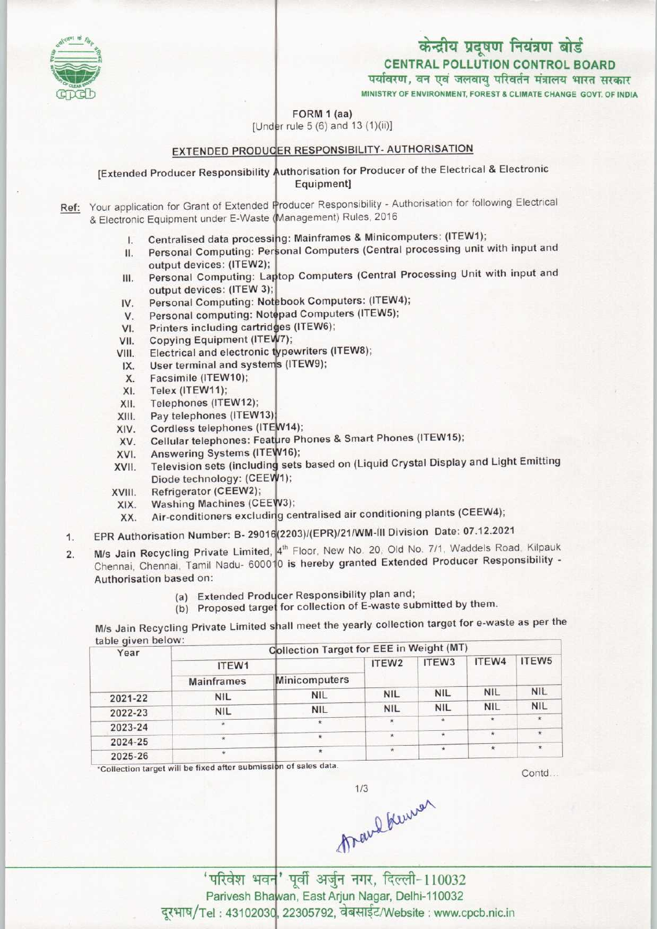## केन्द्रीय प्रदूषण नियंत्रण बोर्ड CENTRAL POLLUTION CONTROL BOARD

पर्यावरण, वन एवं जलवायु परिवर्तन मंत्रालय भारत सरकार

MINISTRY OF ENVIRONMENT, FOREST & CLIMATE CHANGE GOVT. OF INDIA

FORM 1 (aa)

[Under rule  $5(6)$  and  $13(1)(ii)$ ]

### EXTENDED PRODUCER RESPONSIBILITY- AUTHORISATION

[Extended Producer Responsibility Authorisation for Producer of the Electrical & Electronic Equipment]

Ref: Your application for Grant of Extended Producer Responsibility - Authorisation for following Electrical & Electronic Equipment under E-Waste (Management) Rules, 2016

- Centralised data processing: Mainframes & Minicomputers: (ITEW1) 1
- Centralised data processing: Manimalities & Million processing unit with input and<br>Personal Computing: Personal Computers (Central processing unit with input and  $II.$ output devices: (ITEW2
- output devices: (ITEWE), III. output devices: (ITEW 3]
- Personal Computing: Notebook Computers: (ITEW4); IV.
- Personal computing: Notepad Computers (ITEW5); V.
- Printers including cartridges (ITEW6); VI.
- Copying Equipment (ITEW7); VII.
- Electrical and electronic typewriters (ITEW8); VIII.
- User terminal and systems (ITEW9); IX.
- Facsimile (ITEW10); X.
- Telex (ITEW11); XI.
- Telephones(ITEW12);  $XII.$
- Pay telephones (ITEW13 XIII.
- Cordless telephones (ITEW14); XIV.
- XIV. Cordiess telephones (ITEW14);<br>XV. Cellular telephones: Feature Phones & Smart Phones (ITEW15);
- Answering Systems (ITEW16); XVI.
- Allswerling Systems (ITENTO), Diode technology: (CEEW1); XVII.
- Refrigerator (CEEW2); XVIII.
- Washing Machines (CEEW3); XIX.
- washing Machines (CEEW3),<br>Air-conditioners excluding centralised air conditioning plants (CEEW4); XX.
- :203)/(EPR)/21/WM-lll Division Date: 07.12.2021 XIX. Washing Machines (CEI<br>XX. Air-conditioners exclud<br>1. EPR Authorisation Number: B- 2901
- h Floor, New No. 20, Old No. 7/1, Waddels Road, Kilpauk M/s Jain Recycling Private Limited, 4 Proof, New No. 20, 312 No. 11, New Producer Responsibility -1. EPR Authorisation Number: B- 2901<br>2. M/s Jain Recycling Private Limited,<br>Chennai, Chennai, Tamil Nadu- 6000 Authorisation based on:
	- sou on:<br>(a) Extended Producer Responsibility plan and;
	- (a) Extended Producer Responsibility plan and,<br>(b) Proposed target for collection of E-waste submitted by them.

M/s Jain Recycling Private Limited shall meet the yearly collection target for e-waste as per the table given below:

| ITEW1             |               | ITEW <sub>2</sub> | ITEW <sub>3</sub> | ITEW4      | ITEW5                                                            |  |
|-------------------|---------------|-------------------|-------------------|------------|------------------------------------------------------------------|--|
| <b>Mainframes</b> | Minicomputers |                   |                   |            |                                                                  |  |
| <b>NIL</b>        | <b>NIL</b>    | <b>NIL</b>        | <b>NIL</b>        | <b>NIL</b> | <b>NIL</b>                                                       |  |
| <b>NIL</b>        | <b>NIL</b>    | <b>NIL</b>        | <b>NIL</b>        | <b>NIL</b> | <b>NIL</b>                                                       |  |
| ÷                 |               | ×.                |                   | ÷          | $\star$                                                          |  |
| $\star$           | ¥             | $\star$           | $\star$           | ŵ          | $\star$                                                          |  |
| $\star$           |               | $\star$           | $\star$           | $\star$    | $\star$                                                          |  |
|                   |               |                   |                   |            | raple diveli neight.<br>Collection Target for EEE in Weight (MT) |  |

of sales data.

Contd

 $\int_{\text{tr}}^{\text{tr}} \text{tr} \, \text{tr} \, \text{tr} \, \text{tr} \, \text{tr} \, \text{tr} \, \text{tr} \, \text{tr} \, \text{tr} \, \text{tr} \, \text{tr} \, \text{tr} \, \text{tr} \, \text{tr} \, \text{tr} \, \text{tr} \, \text{tr} \, \text{tr} \, \text{tr} \, \text{tr} \, \text{tr} \, \text{tr} \, \text{tr} \, \text{tr} \, \text{tr} \, \text{tr} \, \text{tr} \, \text{tr} \, \text{tr} \, \text$  $1/3$ 

Parivesh Bhawan, East Arjun Nagar, Delhi-110032 दूरभाष/Tel: 43102030, 22305792, वेबसाईट/Website: www.cpcb.nic.in

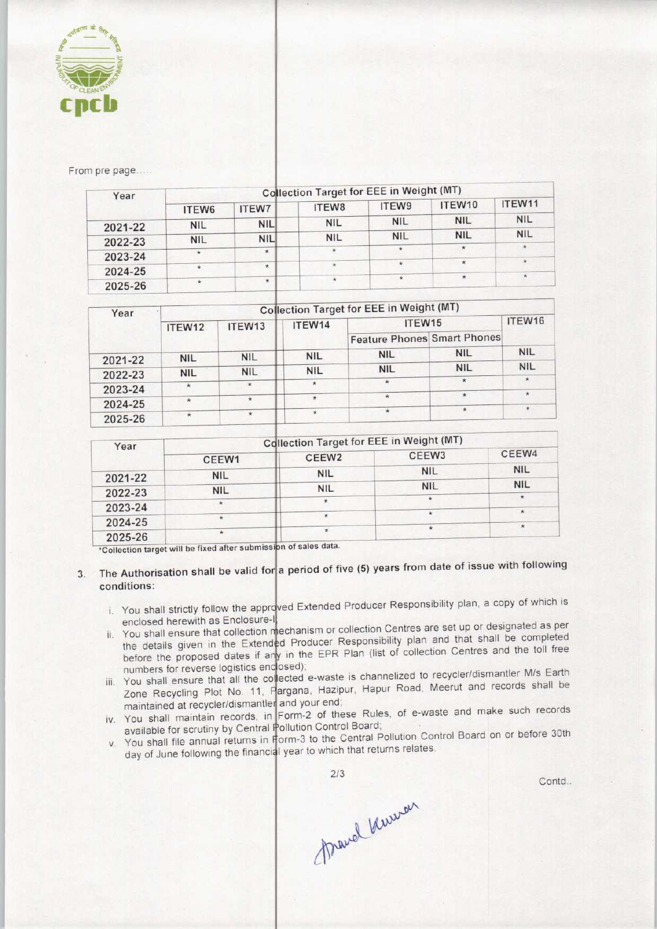

From pre page.....

| Year    | Collection Target for EEE in Weight (MT) |              |               |            |            |            |  |  |
|---------|------------------------------------------|--------------|---------------|------------|------------|------------|--|--|
|         | ITEW6                                    | <b>ITEW7</b> | ITEW8         | ITEW9      | ITEW10     | ITEW11     |  |  |
| 2021-22 | <b>NIL</b>                               | <b>NIL</b>   | <b>NIL</b>    | <b>NIL</b> | <b>NIL</b> | <b>NIL</b> |  |  |
| 2022-23 | <b>NIL</b>                               | <b>NIL</b>   | <b>NIL</b>    | <b>NIL</b> | <b>NIL</b> | <b>NIL</b> |  |  |
| 2023-24 | $\star$                                  | ŵ.           | $\rightarrow$ | $\star$    | $\star$    | $\star$    |  |  |
| 2024-25 | $\star$                                  | ¥            | $\star$       | $\star$    | $\star$    | $\star$    |  |  |
| 2025-26 | $\star$                                  | $\star$      | $\star$       | $\star$    | $\star$    |            |  |  |

| Year               |            | Collection Target for EEE in Weight (MT) |                                    |            |            |            |  |  |  |
|--------------------|------------|------------------------------------------|------------------------------------|------------|------------|------------|--|--|--|
| ITEW12             | ITEW13     | ITEW14                                   | ITEW15                             |            | ITEW16     |            |  |  |  |
|                    |            |                                          | <b>Feature Phones Smart Phones</b> |            |            |            |  |  |  |
| 2021-22            | <b>NIL</b> | <b>NIL</b>                               | <b>NIL</b>                         | <b>NIL</b> | <b>NIL</b> | <b>NIL</b> |  |  |  |
| 2022-23            | <b>NIL</b> | <b>NIL</b>                               | <b>NIL</b>                         | <b>NIL</b> | <b>NIL</b> | <b>NIL</b> |  |  |  |
| 2023-24            |            | $\star$                                  | $*$                                | $\star$    | $\star$    | $\star$    |  |  |  |
|                    |            |                                          | $\star$                            | $\star$    | $\star$    | $\star$    |  |  |  |
| 2024-25<br>2025-26 |            |                                          |                                    |            | $\star$    | $\star$    |  |  |  |

| Year    | <b>Collection Target for EEE in Weight (MT)</b> |                   |                   |            |  |  |
|---------|-------------------------------------------------|-------------------|-------------------|------------|--|--|
|         | CEEW1                                           | CEEW <sub>2</sub> | CEEW <sub>3</sub> | CEEW4      |  |  |
| 2021-22 | <b>NIL</b>                                      | <b>NIL</b>        | <b>NIL</b>        | <b>NIL</b> |  |  |
| 2022-23 | <b>NIL</b>                                      | <b>NIL</b>        | <b>NIL</b>        | <b>NIL</b> |  |  |
| 2023-24 | $\star$                                         |                   |                   |            |  |  |
| 2024-25 |                                                 |                   |                   | $\star$    |  |  |
| 2025-26 | $\star$                                         |                   | $\star$           |            |  |  |

\*Collection target will be fixed after submission of sales data.

## 3. The Authorisation shall be valid for a period of five (5) years from date of issue with following conditions:

- i. You shall strictly follow the approved Extended Producer Responsibility plan, a copy of which is enclosed herewith as Enclosure-I
- enclosed herewith as Enclosure-II<br>ii. You shall ensure that collection mechanism or collection Centres are set up or designated as per You shall ensure that collection mechanism or collection centres are set up to that shall be completed<br>the details given in the Extended Producer Responsibility plan and that shall be completed the details given in the Extended Producer Responsibility plan and their bilding of the toll free<br>before the proposed dates if any in the EPR Plan (list of collection Centres and the toll free numbers for reverse logistics enclosed)
- numbers for reverse logistics enclosed);<br>iii. You shall ensure that all the collected e-waste is channelized to recycler/dismantler M/s Earth You shall ensure that all the collected e-waste is channelized to recyclement and records shall be<br>Zone Recycling Plot No. 11, Pargana, Hazipur, Hapur Road, Meerut and records shall be maintained at recycler/dismantler and your end
- maintained at recycler/dismantler and your end,<br>iv. You shall maintain records, in Form-2 of these Rules, of e-waste and make such records available for scrutiny by Central Pollution Control Board
- available for scrutiny by Central Pollution Control Board;<br>v. You shall file annual returns in Form-3 to the Central Pollution Control Board on or before 30th You shall life annual returns in form one to which that returns relates.



Contd..

frand know